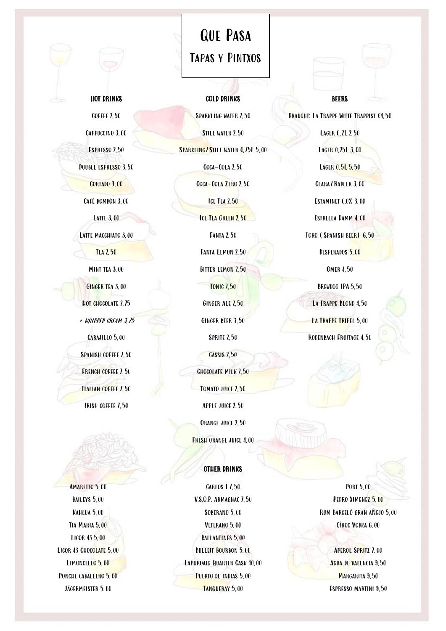## Que Pasa Tapas y Pintxos

**BEERS** 

Draught: La Trappe Witte Trappist €4,50

Lager 0,2L 2,50 Lager 0,25L 3,00

LAGER 0, 5L 5, 50

CLARA/RADLER 3,00

Estaminet 0.0% 3,00

Estrella Damm 4,00

Toro (Spanish beer) 6,50

DESPERADOS 5,00

Omer 4,50

BREWDOG IPA 5.50

LA TRAPPE BLOND 4, 50 LA TRAPPE TRIPEL 5,00 Rodenbach Fruitage 4,50

Cappuccino 3,00

HOT DRINKS

Coffee 2,50

Espresso 2,50

DOUBLE ESPRESSO 3,50

CORTADO 3,00 Café bombón 3,00

Latte 3,00

LATTE MACCHIATO 3,00

Tea 2,50

Mint tea 3,00

Ginger tea 3,00

HOT CHOCOLATE 2,75

+ whipped cream 3,75 Carajillo 5,00 SPANISH COFFEE 7,50 FRENCH COFFEE 7,50 ITALIAN COFFEE 7,50

Irish coffee 7,50

AMARETTO 5,00 BAILEYS 5,00 Kahlua 5,00 Tia Maria 5,00 Licor 43 5,00 Licor 43 Chocolate 5,00 Limoncello 5,00 PONCHE CABALLERO 5,00 Jägermeister 5,00

## COLD DRINKS Sparkling water 2,50

Still water 2,50 SPARKLING/STILL WATER 0,75L 5,00 Coca-Cola 2,50

COCA-COLA ZERO 2,50

**ICE TEA 2, 50** 

ICE TEA GREEN 2,50

Fanta 2,50

Fanta Lemon 2,50

BITTER LEMON 2,50

**TONIC 2, 50** 

Ginger Ale 2,50

Ginger beer 3,50

**SPRITE 2,50** 

Cassis 2,50

CHOCOLATE MILK 2,50

Tomato juice 2,50

Apple juice 2,50

ORANGE JUICE 2,50

Fresh orange juice 4,00

## OTHER DRINKS

Carlos I 7,50 V.S.O.P. Armagnac 7,50 Soberano 5,00 Veterano 5,00 BALLANTINES 5,00 BULLEIT BOURBON 5,00 Laphroaig Quarter Cask 10,00 PUERTO DE INDIAS 5,00 Tanqueray 5,00

Port 5,00 PEDRO XIMENEZ 5,00 Rum Barceló gran aÑejo 5,00 Cîroc Vodka 6,00

APEROL SPRITZ 7,00 Agua de valencia 9,50 MARGARITA 9,50 Espresso martini 9,50